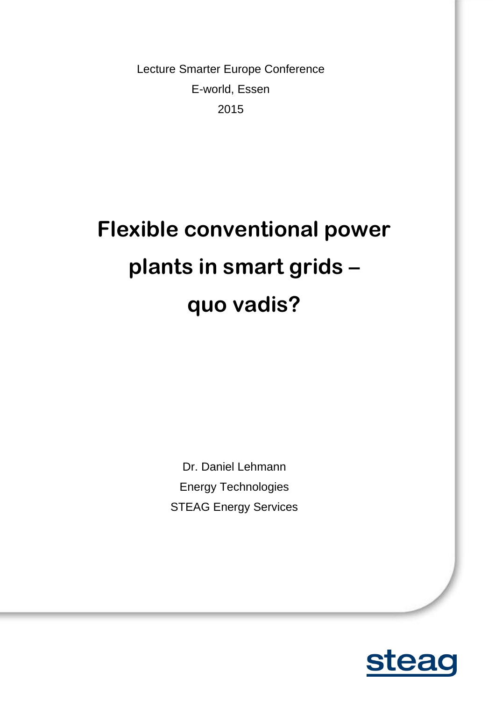Lecture Smarter Europe Conference E-world, Essen 2015

# **Flexible conventional power plants in smart grids – quo vadis?**

Dr. Daniel Lehmann Energy Technologies STEAG Energy Services

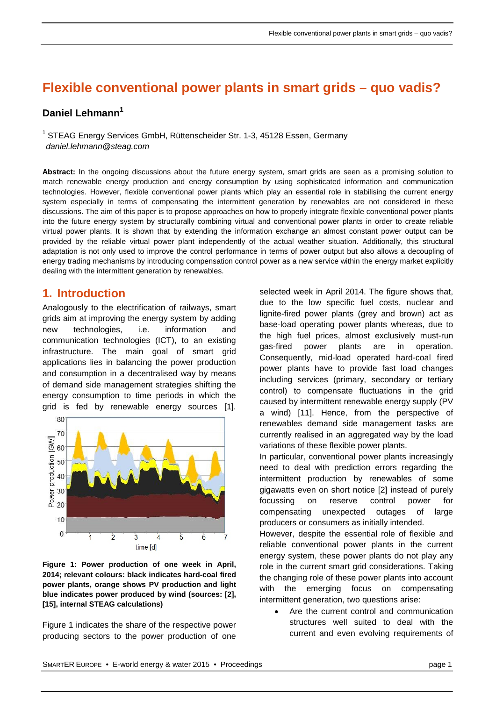# **Flexible conventional power plants in smart grids – quo vadis?**

## **Daniel Lehmann1**

<sup>1</sup> STEAG Energy Services GmbH, Rüttenscheider Str. 1-3, 45128 Essen, Germany *daniel.lehmann@steag.com*

**Abstract:** In the ongoing discussions about the future energy system, smart grids are seen as a promising solution to match renewable energy production and energy consumption by using sophisticated information and communication technologies. However, flexible conventional power plants which play an essential role in stabilising the current energy system especially in terms of compensating the intermittent generation by renewables are not considered in these discussions. The aim of this paper is to propose approaches on how to properly integrate flexible conventional power plants into the future energy system by structurally combining virtual and conventional power plants in order to create reliable virtual power plants. It is shown that by extending the information exchange an almost constant power output can be provided by the reliable virtual power plant independently of the actual weather situation. Additionally, this structural adaptation is not only used to improve the control performance in terms of power output but also allows a decoupling of energy trading mechanisms by introducing compensation control power as a new service within the energy market explicitly dealing with the intermittent generation by renewables.

## **1. Introduction**

Analogously to the electrification of railways, smart grids aim at improving the energy system by adding new technologies, i.e. information and communication technologies (ICT), to an existing infrastructure. The main goal of smart grid applications lies in balancing the power production and consumption in a decentralised way by means of demand side management strategies shifting the energy consumption to time periods in which the grid is fed by renewable energy sources [\[1\].](#page-7-0)



<span id="page-1-0"></span>**Figure 1: Power production of one week in April, 2014; relevant colours: black indicates hard-coal fired power plants, orange shows PV production and light blue indicates power produced by wind (sources: [\[2\],](#page-7-1) [\[15\],](#page-7-2) internal STEAG calculations)**

[Figure 1](#page-1-0) indicates the share of the respective power producing sectors to the power production of one

selected week in April 2014. The figure shows that, due to the low specific fuel costs, nuclear and lignite-fired power plants (grey and brown) act as base-load operating power plants whereas, due to the high fuel prices, almost exclusively must-run gas-fired power plants are in operation. Consequently, mid-load operated hard-coal fired power plants have to provide fast load changes including services (primary, secondary or tertiary control) to compensate fluctuations in the grid caused by intermittent renewable energy supply (PV a wind) [\[11\].](#page-7-3) Hence, from the perspective of renewables demand side management tasks are currently realised in an aggregated way by the load variations of these flexible power plants.

In particular, conventional power plants increasingly need to deal with prediction errors regarding the intermittent production by renewables of some gigawatts even on short notice [\[2\]](#page-7-1) instead of purely focussing on reserve control power for compensating unexpected outages of large producers or consumers as initially intended.

However, despite the essential role of flexible and reliable conventional power plants in the current energy system, these power plants do not play any role in the current smart grid considerations. Taking the changing role of these power plants into account with the emerging focus on compensating intermittent generation, two questions arise:

• Are the current control and communication structures well suited to deal with the current and even evolving requirements of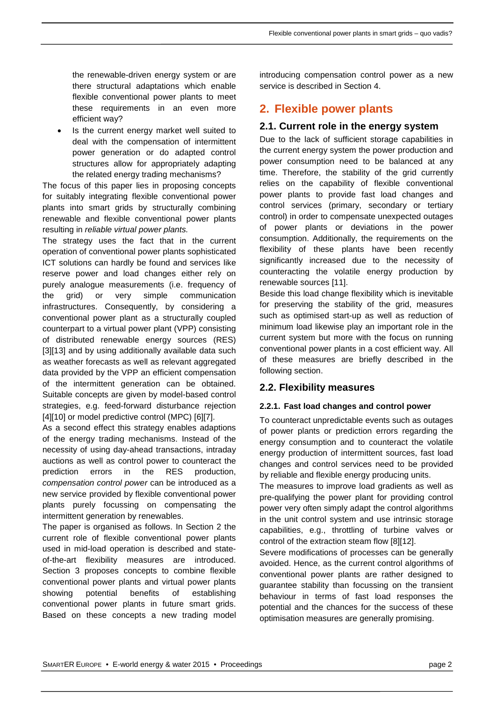the renewable-driven energy system or are there structural adaptations which enable flexible conventional power plants to meet these requirements in an even more efficient way?

Is the current energy market well suited to deal with the compensation of intermittent power generation or do adapted control structures allow for appropriately adapting the related energy trading mechanisms?

The focus of this paper lies in proposing concepts for suitably integrating flexible conventional power plants into smart grids by structurally combining renewable and flexible conventional power plants resulting in *reliable virtual power plants.*

The strategy uses the fact that in the current operation of conventional power plants sophisticated ICT solutions can hardly be found and services like reserve power and load changes either rely on purely analogue measurements (i.e. frequency of the grid) or very simple communication infrastructures. Consequently, by considering a conventional power plant as a structurally coupled counterpart to a virtual power plant (VPP) consisting of distributed renewable energy sources (RES) [\[3\]\[13\]](#page-7-4) and by using additionally available data such as weather forecasts as well as relevant aggregated data provided by the VPP an efficient compensation of the intermittent generation can be obtained. Suitable concepts are given by model-based control strategies, e.g. feed-forward disturbance rejection [\[4\]\[10\]](#page-7-5) or model predictive control (MPC) [\[6\]\[7\].](#page-7-6)

As a second effect this strategy enables adaptions of the energy trading mechanisms. Instead of the necessity of using day-ahead transactions, intraday auctions as well as control power to counteract the prediction errors in the RES production, *compensation control power* can be introduced as a new service provided by flexible conventional power plants purely focussing on compensating the intermittent generation by renewables.

The paper is organised as follows. In Section [2](#page-2-0) the current role of flexible conventional power plants used in mid-load operation is described and stateof-the-art flexibility measures are introduced. Section [3](#page-3-0) proposes concepts to combine flexible conventional power plants and virtual power plants showing potential benefits of establishing conventional power plants in future smart grids. Based on these concepts a new trading model introducing compensation control power as a new service is described in Section [4.](#page-6-0)

## <span id="page-2-0"></span>**2. Flexible power plants**

## **2.1. Current role in the energy system**

Due to the lack of sufficient storage capabilities in the current energy system the power production and power consumption need to be balanced at any time. Therefore, the stability of the grid currently relies on the capability of flexible conventional power plants to provide fast load changes and control services (primary, secondary or tertiary control) in order to compensate unexpected outages of power plants or deviations in the power consumption. Additionally, the requirements on the flexibility of these plants have been recently significantly increased due to the necessity of counteracting the volatile energy production by renewable sources [\[11\].](#page-7-3)

Beside this load change flexibility which is inevitable for preserving the stability of the grid, measures such as optimised start-up as well as reduction of minimum load likewise play an important role in the current system but more with the focus on running conventional power plants in a cost efficient way. All of these measures are briefly described in the following section.

## **2.2. Flexibility measures**

#### <span id="page-2-1"></span>**2.2.1. Fast load changes and control power**

To counteract unpredictable events such as outages of power plants or prediction errors regarding the energy consumption and to counteract the volatile energy production of intermittent sources, fast load changes and control services need to be provided by reliable and flexible energy producing units.

The measures to improve load gradients as well as pre-qualifying the power plant for providing control power very often simply adapt the control algorithms in the unit control system and use intrinsic storage capabilities, e.g., throttling of turbine valves or control of the extraction steam flow [\[8\]\[12\].](#page-7-7)

Severe modifications of processes can be generally avoided. Hence, as the current control algorithms of conventional power plants are rather designed to guarantee stability than focussing on the transient behaviour in terms of fast load responses the potential and the chances for the success of these optimisation measures are generally promising.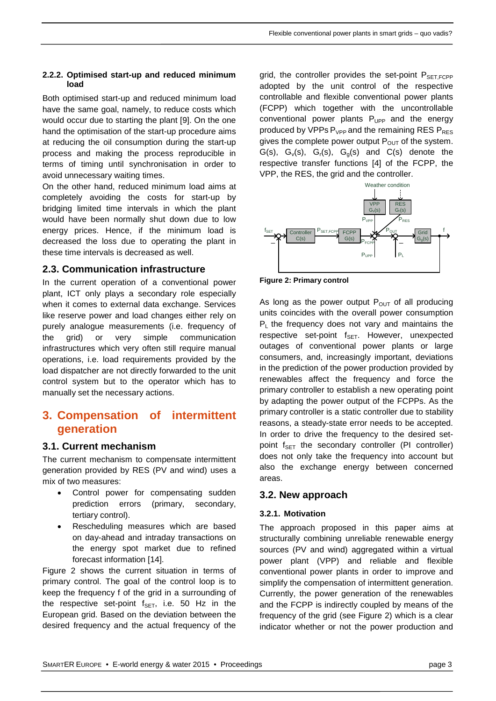#### **2.2.2. Optimised start-up and reduced minimum load**

Both optimised start-up and reduced minimum load have the same goal, namely, to reduce costs which would occur due to starting the plant [\[9\].](#page-7-8) On the one hand the optimisation of the start-up procedure aims at reducing the oil consumption during the start-up process and making the process reproducible in terms of timing until synchronisation in order to avoid unnecessary waiting times.

On the other hand, reduced minimum load aims at completely avoiding the costs for start-up by bridging limited time intervals in which the plant would have been normally shut down due to low energy prices. Hence, if the minimum load is decreased the loss due to operating the plant in these time intervals is decreased as well.

## **2.3. Communication infrastructure**

In the current operation of a conventional power plant, ICT only plays a secondary role especially when it comes to external data exchange. Services like reserve power and load changes either rely on purely analogue measurements (i.e. frequency of the grid) or very simple communication infrastructures which very often still require manual operations, i.e. load requirements provided by the load dispatcher are not directly forwarded to the unit control system but to the operator which has to manually set the necessary actions.

## <span id="page-3-0"></span>**3. Compensation of intermittent generation**

## **3.1. Current mechanism**

The current mechanism to compensate intermittent generation provided by RES (PV and wind) uses a mix of two measures:

- Control power for compensating sudden prediction errors (primary, secondary, tertiary control).
- Rescheduling measures which are based on day-ahead and intraday transactions on the energy spot market due to refined forecast information [\[14\].](#page-7-9)

[Figure](#page-3-1) 2 shows the current situation in terms of primary control. The goal of the control loop is to keep the frequency f of the grid in a surrounding of the respective set-point  $f_{\text{SET}}$ , i.e. 50 Hz in the European grid. Based on the deviation between the desired frequency and the actual frequency of the

grid, the controller provides the set-point  $P_{\text{SET-FCPP}}$ adopted by the unit control of the respective controllable and flexible conventional power plants (FCPP) which together with the uncontrollable conventional power plants  $P_{UPP}$  and the energy produced by VPPs  $P_{VPP}$  and the remaining RES  $P_{RES}$ gives the complete power output  $P_{OUT}$  of the system.  $G(s)$ ,  $G_v(s)$ ,  $G_v(s)$ ,  $G_o(s)$  and  $C(s)$  denote the respective transfer functions [\[4\]](#page-7-5) of the FCPP, the VPP, the RES, the grid and the controller.



<span id="page-3-1"></span>**Figure 2: Primary control**

As long as the power output  $P_{\text{OUT}}$  of all producing units coincides with the overall power consumption  $P_1$  the frequency does not vary and maintains the respective set-point  $f_{\text{SET}}$ . However, unexpected outages of conventional power plants or large consumers, and, increasingly important, deviations in the prediction of the power production provided by renewables affect the frequency and force the primary controller to establish a new operating point by adapting the power output of the FCPPs. As the primary controller is a static controller due to stability reasons, a steady-state error needs to be accepted. In order to drive the frequency to the desired setpoint  $f_{\text{SFT}}$  the secondary controller (PI controller) does not only take the frequency into account but also the exchange energy between concerned areas.

## **3.2. New approach**

#### **3.2.1. Motivation**

The approach proposed in this paper aims at structurally combining unreliable renewable energy sources (PV and wind) aggregated within a virtual power plant (VPP) and reliable and flexible conventional power plants in order to improve and simplify the compensation of intermittent generation. Currently, the power generation of the renewables and the FCPP is indirectly coupled by means of the frequency of the grid (see [Figure 2\)](#page-3-1) which is a clear indicator whether or not the power production and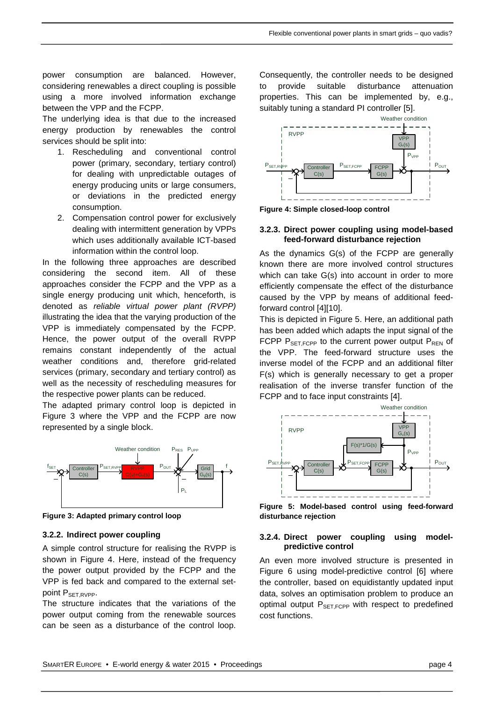power consumption are balanced. However, considering renewables a direct coupling is possible using a more involved information exchange between the VPP and the FCPP.

The underlying idea is that due to the increased energy production by renewables the control services should be split into:

- 1. Rescheduling and conventional control power (primary, secondary, tertiary control) for dealing with unpredictable outages of energy producing units or large consumers, or deviations in the predicted energy consumption.
- 2. Compensation control power for exclusively dealing with intermittent generation by VPPs which uses additionally available ICT-based information within the control loop.

In the following three approaches are described considering the second item. All of these approaches consider the FCPP and the VPP as a single energy producing unit which, henceforth, is denoted as *reliable virtual power plant (RVPP)* illustrating the idea that the varying production of the VPP is immediately compensated by the FCPP. Hence, the power output of the overall RVPP remains constant independently of the actual weather conditions and, therefore grid-related services (primary, secondary and tertiary control) as well as the necessity of rescheduling measures for the respective power plants can be reduced.

The adapted primary control loop is depicted in [Figure 3](#page-4-0) where the VPP and the FCPP are now represented by a single block.



<span id="page-4-0"></span>**Figure 3: Adapted primary control loop**

#### **3.2.2. Indirect power coupling**

A simple control structure for realising the RVPP is shown in [Figure 4.](#page-4-1) Here, instead of the frequency the power output provided by the FCPP and the VPP is fed back and compared to the external setpoint P<sub>SET,RVPP</sub>.

The structure indicates that the variations of the power output coming from the renewable sources can be seen as a disturbance of the control loop.

Consequently, the controller needs to be designed to provide suitable disturbance attenuation properties. This can be implemented by, e.g., suitably tuning a standard PI controller [\[5\].](#page-7-10)



<span id="page-4-1"></span>**Figure 4: Simple closed-loop control** 

#### **3.2.3. Direct power coupling using model-based feed-forward disturbance rejection**

As the dynamics G(s) of the FCPP are generally known there are more involved control structures which can take G(s) into account in order to more efficiently compensate the effect of the disturbance caused by the VPP by means of additional feedforward control [\[4\]\[10\].](#page-7-5)

This is depicted in [Figure 5.](#page-4-2) Here, an additional path has been added which adapts the input signal of the FCPP  $P_{\text{SET.FCPP}}$  to the current power output  $P_{\text{REN}}$  of the VPP. The feed-forward structure uses the inverse model of the FCPP and an additional filter F(s) which is generally necessary to get a proper realisation of the inverse transfer function of the FCPP and to face input constraints [\[4\].](#page-7-5)



<span id="page-4-2"></span>**Figure 5: Model-based control using feed-forward disturbance rejection**

#### **3.2.4. Direct power coupling using modelpredictive control**

An even more involved structure is presented in [Figure 6](#page-5-0) using model-predictive control [\[6\]](#page-7-6) where the controller, based on equidistantly updated input data, solves an optimisation problem to produce an optimal output  $P_{\text{SET-FCPP}}$  with respect to predefined cost functions.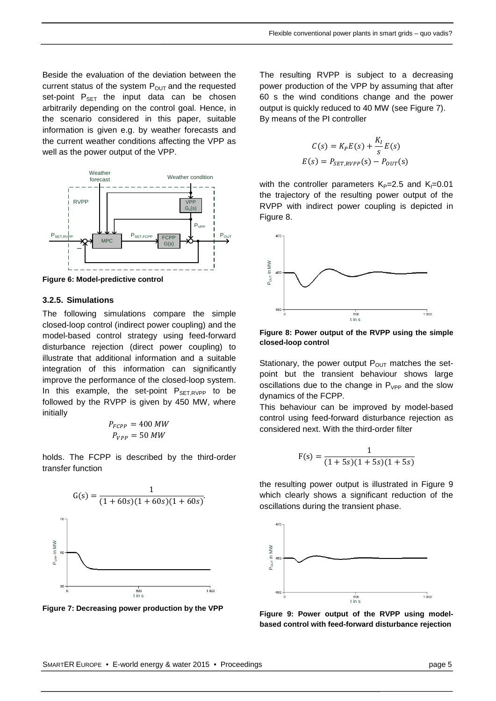Beside the evaluation of the deviation between the current status of the system  $P_{OUT}$  and the requested set-point  $P_{SET}$  the input data can be chosen arbitrarily depending on the control goal. Hence, in the scenario considered in this paper, suitable information is given e.g. by weather forecasts and the current weather conditions affecting the VPP as well as the power output of the VPP.



<span id="page-5-0"></span>**Figure 6: Model-predictive control**

#### **3.2.5. Simulations**

The following simulations compare the simple closed-loop control (indirect power coupling) and the model-based control strategy using feed-forward disturbance rejection (direct power coupling) to illustrate that additional information and a suitable integration of this information can significantly improve the performance of the closed-loop system. In this example, the set-point  $P_{\text{SET,RVPP}}$  to be followed by the RVPP is given by 450 MW, where initially

$$
P_{FCPP} = 400 \, MW
$$

$$
P_{VPP} = 50 \, MW
$$

holds. The FCPP is described by the third-order transfer function



<span id="page-5-1"></span>**Figure 7: Decreasing power production by the VPP**

The resulting RVPP is subject to a decreasing power production of the VPP by assuming that after 60 s the wind conditions change and the power output is quickly reduced to 40 MW (see [Figure 7\)](#page-5-1). By means of the PI controller

$$
C(s) = K_P E(s) + \frac{K_I}{s} E(s)
$$

$$
E(s) = P_{SET, RVPP}(s) - P_{OUT}(s)
$$

with the controller parameters  $K_P=2.5$  and  $K_I=0.01$ the trajectory of the resulting power output of the RVPP with indirect power coupling is depicted in [Figure 8.](#page-5-2)



<span id="page-5-2"></span>**Figure 8: Power output of the RVPP using the simple closed-loop control**

Stationary, the power output  $P_{\text{OUT}}$  matches the setpoint but the transient behaviour shows large oscillations due to the change in  $P_{VPP}$  and the slow dynamics of the FCPP.

This behaviour can be improved by model-based control using feed-forward disturbance rejection as considered next. With the third-order filter

$$
F(s) = \frac{1}{(1+5s)(1+5s)(1+5s)}
$$

the resulting power output is illustrated in [Figure 9](#page-5-3) which clearly shows a significant reduction of the oscillations during the transient phase.



<span id="page-5-3"></span>**Figure 9: Power output of the RVPP using modelbased control with feed-forward disturbance rejection**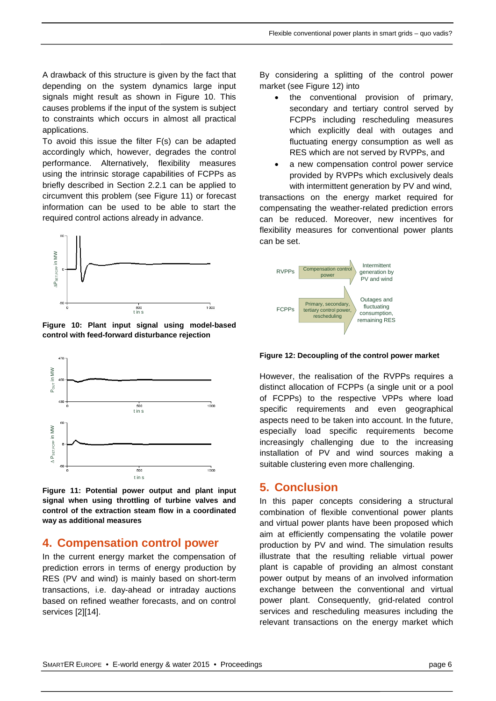A drawback of this structure is given by the fact that depending on the system dynamics large input signals might result as shown in [Figure 10.](#page-6-1) This causes problems if the input of the system is subject to constraints which occurs in almost all practical applications.

To avoid this issue the filter F(s) can be adapted accordingly which, however, degrades the control performance. Alternatively, flexibility measures using the intrinsic storage capabilities of FCPPs as briefly described in Section [2.2.1](#page-2-1) can be applied to circumvent this problem (see [Figure 11\)](#page-6-2) or forecast information can be used to be able to start the required control actions already in advance.



<span id="page-6-1"></span>**Figure 10: Plant input signal using model-based control with feed-forward disturbance rejection**



<span id="page-6-2"></span>**Figure 11: Potential power output and plant input signal when using throttling of turbine valves and control of the extraction steam flow in a coordinated way as additional measures**

## <span id="page-6-0"></span>**4. Compensation control power**

In the current energy market the compensation of prediction errors in terms of energy production by RES (PV and wind) is mainly based on short-term transactions, i.e. day-ahead or intraday auctions based on refined weather forecasts, and on control services [\[2\]\[14\].](#page-7-1)

By considering a splitting of the control power market (see [Figure 12\)](#page-6-3) into

- the conventional provision of primary, secondary and tertiary control served by FCPPs including rescheduling measures which explicitly deal with outages and fluctuating energy consumption as well as RES which are not served by RVPPs, and
- a new compensation control power service provided by RVPPs which exclusively deals with intermittent generation by PV and wind,

transactions on the energy market required for compensating the weather-related prediction errors can be reduced. Moreover, new incentives for flexibility measures for conventional power plants can be set.



<span id="page-6-3"></span>**Figure 12: Decoupling of the control power market**

However, the realisation of the RVPPs requires a distinct allocation of FCPPs (a single unit or a pool of FCPPs) to the respective VPPs where load specific requirements and even geographical aspects need to be taken into account. In the future, especially load specific requirements become increasingly challenging due to the increasing installation of PV and wind sources making a suitable clustering even more challenging.

## **5. Conclusion**

In this paper concepts considering a structural combination of flexible conventional power plants and virtual power plants have been proposed which aim at efficiently compensating the volatile power production by PV and wind. The simulation results illustrate that the resulting reliable virtual power plant is capable of providing an almost constant power output by means of an involved information exchange between the conventional and virtual power plant. Consequently, grid-related control services and rescheduling measures including the relevant transactions on the energy market which